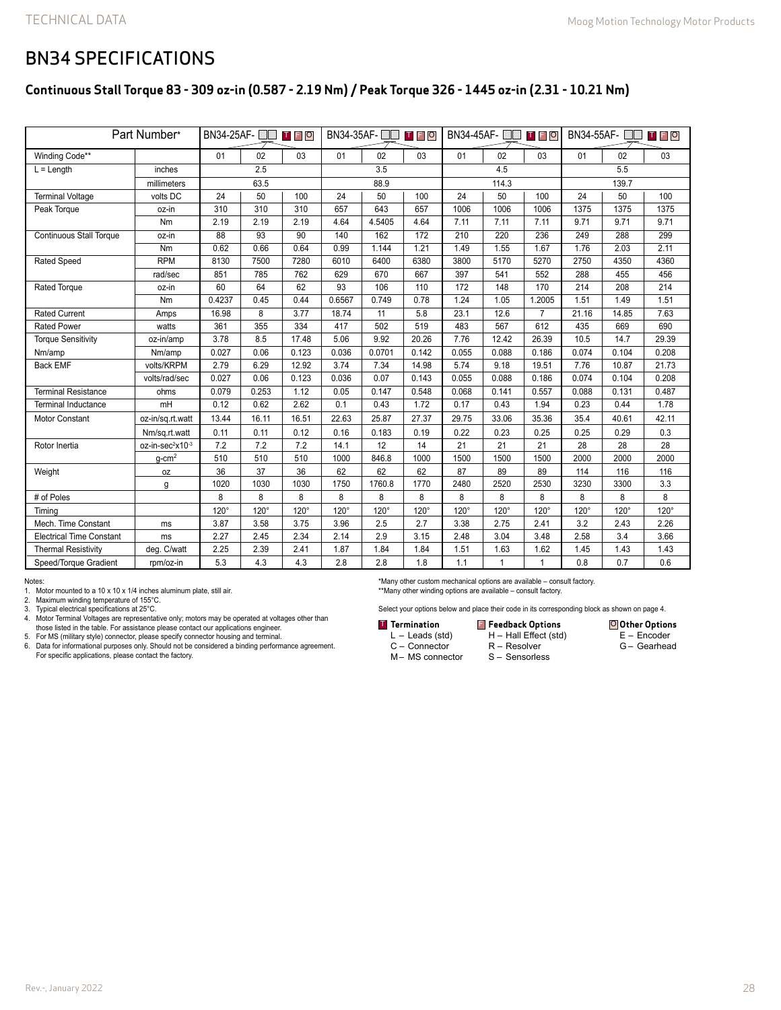### BN34 SPECIFICATIONS

#### **Continuous Stall Torque 83 - 309 oz-in (0.587 - 2.19 Nm) / Peak Torque 326 - 1445 oz-in (2.31 - 10.21 Nm)**

| Part Number*                    |                              | $BN34-25AF - \Box$<br>T F O |                 |                 | BN34-35AF-□□<br>TFO |             |       | BN34-45AF-<br>T F O |              |                | BN34-55AF-<br><b>TFO</b> |             |             |
|---------------------------------|------------------------------|-----------------------------|-----------------|-----------------|---------------------|-------------|-------|---------------------|--------------|----------------|--------------------------|-------------|-------------|
| Winding Code**                  |                              | 01                          | 02              | 03              | 01                  | 02          | 03    | 01                  | 02           | 03             | 01                       | 02          | 03          |
| $L =$ Length<br>inches          |                              | 2.5                         |                 |                 | 3.5                 |             |       | 4.5                 |              |                | 5.5                      |             |             |
|                                 | millimeters                  |                             | 63.5            |                 | 88.9                |             |       | 114.3               |              |                | 139.7                    |             |             |
| <b>Terminal Voltage</b>         | volts DC                     | 24                          | 50              | 100             | 24                  | 50          | 100   | 24                  | 50           | 100            | 24                       | 50          | 100         |
| Peak Torque                     | oz-in                        | 310                         | 310             | 310             | 657                 | 643         | 657   | 1006                | 1006         | 1006           | 1375                     | 1375        | 1375        |
|                                 | Nm                           | 2.19                        | 2.19            | 2.19            | 4.64                | 4.5405      | 4.64  | 7.11                | 7.11         | 7.11           | 9.71                     | 9.71        | 9.71        |
| <b>Continuous Stall Torque</b>  | oz-in                        | $\overline{88}$             | $\overline{93}$ | $\overline{90}$ | 140                 | 162         | 172   | 210                 | 220          | 236            | 249                      | 288         | 299         |
|                                 | Nm                           | 0.62                        | 0.66            | 0.64            | 0.99                | 1.144       | 1.21  | 1.49                | 1.55         | 1.67           | 1.76                     | 2.03        | 2.11        |
| <b>Rated Speed</b>              | <b>RPM</b>                   | 8130                        | 7500            | 7280            | 6010                | 6400        | 6380  | 3800                | 5170         | 5270           | 2750                     | 4350        | 4360        |
|                                 | rad/sec                      | 851                         | 785             | 762             | 629                 | 670         | 667   | 397                 | 541          | 552            | 288                      | 455         | 456         |
| Rated Torque                    | oz-in                        | 60                          | 64              | 62              | 93                  | 106         | 110   | 172                 | 148          | 170            | 214                      | 208         | 214         |
|                                 | Nm                           | 0.4237                      | 0.45            | 0.44            | 0.6567              | 0.749       | 0.78  | 1.24                | 1.05         | 1.2005         | 1.51                     | 1.49        | 1.51        |
| <b>Rated Current</b>            | Amps                         | 16.98                       | $\overline{8}$  | 3.77            | 18.74               | 11          | 5.8   | 23.1                | 12.6         | $\overline{7}$ | 21.16                    | 14.85       | 7.63        |
| <b>Rated Power</b>              | watts                        | 361                         | 355             | 334             | 417                 | 502         | 519   | 483                 | 567          | 612            | 435                      | 669         | 690         |
| <b>Torque Sensitivity</b>       | oz-in/amp                    | 3.78                        | 8.5             | 17.48           | 5.06                | 9.92        | 20.26 | 7.76                | 12.42        | 26.39          | 10.5                     | 14.7        | 29.39       |
| Nm/amp                          | Nm/amp                       | 0.027                       | 0.06            | 0.123           | 0.036               | 0.0701      | 0.142 | 0.055               | 0.088        | 0.186          | 0.074                    | 0.104       | 0.208       |
| <b>Back EMF</b>                 | volts/KRPM                   | 2.79                        | 6.29            | 12.92           | 3.74                | 7.34        | 14.98 | 5.74                | 9.18         | 19.51          | 7.76                     | 10.87       | 21.73       |
|                                 | volts/rad/sec                | 0.027                       | 0.06            | 0.123           | 0.036               | 0.07        | 0.143 | 0.055               | 0.088        | 0.186          | 0.074                    | 0.104       | 0.208       |
| <b>Terminal Resistance</b>      | ohms                         | 0.079                       | 0.253           | 1.12            | 0.05                | 0.147       | 0.548 | 0.068               | 0.141        | 0.557          | 0.088                    | 0.131       | 0.487       |
| <b>Terminal Inductance</b>      | mH                           | 0.12                        | 0.62            | 2.62            | 0.1                 | 0.43        | 1.72  | 0.17                | 0.43         | 1.94           | 0.23                     | 0.44        | 1.78        |
| <b>Motor Constant</b>           | oz-in/sq.rt.watt             | 13.44                       | 16.11           | 16.51           | 22.63               | 25.87       | 27.37 | 29.75               | 33.06        | 35.36          | 35.4                     | 40.61       | 42.11       |
|                                 | Nm/sq.rt.watt                | 0.11                        | 0.11            | 0.12            | 0.16                | 0.183       | 0.19  | 0.22                | 0.23         | 0.25           | 0.25                     | 0.29        | 0.3         |
| Rotor Inertia                   | oz-in-sec <sup>2</sup> x10-3 | 7.2                         | 7.2             | 7.2             | 14.1                | 12          | 14    | 21                  | 21           | 21             | 28                       | 28          | 28          |
|                                 | $g$ -cm <sup>2</sup>         | 510                         | 510             | 510             | 1000                | 846.8       | 1000  | 1500                | 1500         | 1500           | 2000                     | 2000        | 2000        |
| Weight                          | oz                           | 36                          | 37              | 36              | 62                  | 62          | 62    | 87                  | 89           | 89             | 114                      | 116         | 116         |
|                                 | g                            | 1020                        | 1030            | 1030            | 1750                | 1760.8      | 1770  | 2480                | 2520         | 2530           | 3230                     | 3300        | 3.3         |
| # of Poles                      |                              | 8                           | 8               | 8               | 8                   | 8           | 8     | 8                   | 8            | 8              | 8                        | 8           | 8           |
| Timina                          |                              | $120^\circ$                 | $120^\circ$     | $120^\circ$     | $120^\circ$         | $120^\circ$ | 120°  | $120^\circ$         | $120^\circ$  | $120^\circ$    | $120^\circ$              | $120^\circ$ | $120^\circ$ |
| Mech. Time Constant             | ms                           | 3.87                        | 3.58            | 3.75            | 3.96                | 2.5         | 2.7   | 3.38                | 2.75         | 2.41           | 3.2                      | 2.43        | 2.26        |
| <b>Electrical Time Constant</b> | ms                           | 2.27                        | 2.45            | 2.34            | 2.14                | 2.9         | 3.15  | 2.48                | 3.04         | 3.48           | 2.58                     | 3.4         | 3.66        |
| <b>Thermal Resistivity</b>      | deg. C/watt                  | 2.25                        | 2.39            | 2.41            | 1.87                | 1.84        | 1.84  | 1.51                | 1.63         | 1.62           | 1.45                     | 1.43        | 1.43        |
| Speed/Torque Gradient           | rpm/oz-in                    | 5.3                         | 4.3             | 4.3             | 2.8                 | 2.8         | 1.8   | 1.1                 | $\mathbf{1}$ | $\mathbf{1}$   | 0.8                      | 0.7         | 0.6         |

Notes:

1. Motor mounted to a 10 x 10 x 1/4 inches aluminum plate, still air. 2. Maximum winding temperature of 155°C.

3. Typical electrical specifications at 25°C.<br>4. Motor Terminal Voltages are representative only; motors may be operated at voltages other than<br>those listed in the table. For assistance please contact our applications engi For specific applications, please contact the factory.

\*Many other custom mechanical options are available – consult factory. \*\*Many other winding options are available – consult factory.

Select your options below and place their code in its corresponding block as shown on page 4.

H – Hall Effect (std)

**Other Options** E – Encoder G – Gearhead

- **Termination Feedback Options** T F O
	- L Leads (std)
	- C Connector M– MS connector
- R Resolver S – Sensorless
	-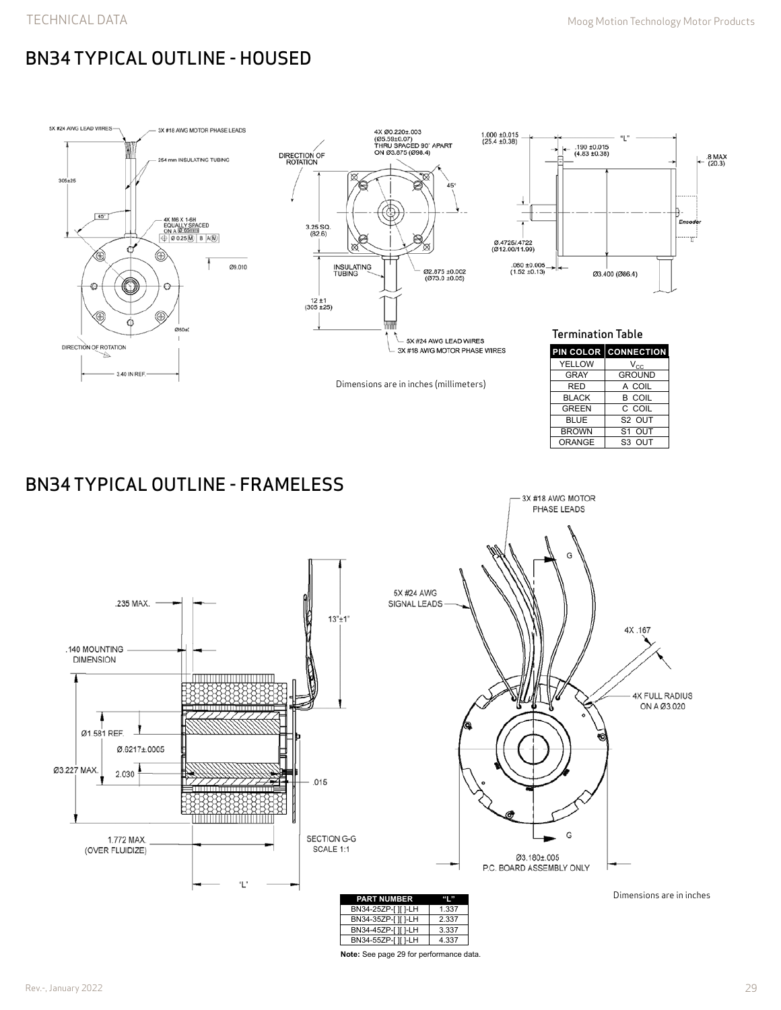# BN34 TYPICAL OUTLINE - HOUSED



**Note:** See page 29 for performance data.

**PART NUMBER "L"** BN34-25ZP-[ ][ ]-LH 1.337<br>BN34-35ZP-[ ][ ]-LH 2.337 BN34-35ZP-[ ][ ]-LH 2.337<br>BN34-45ZP-[ ][ ]-LH 3.337 BN34-45ZP-[ ][ ]-LH 3.337<br>BN34-55ZP-[ ][ ]-LH 4.337 BN34-55ZP-[ ][ ]-LH

SECTION G-G

SCALE 1:1

"L'

1.772 MAX. (OVER FLUIDIZE)

Dimensions are in inches

G

Ø3.180±.005 P.C. BOARD ASSEMBLY ONLY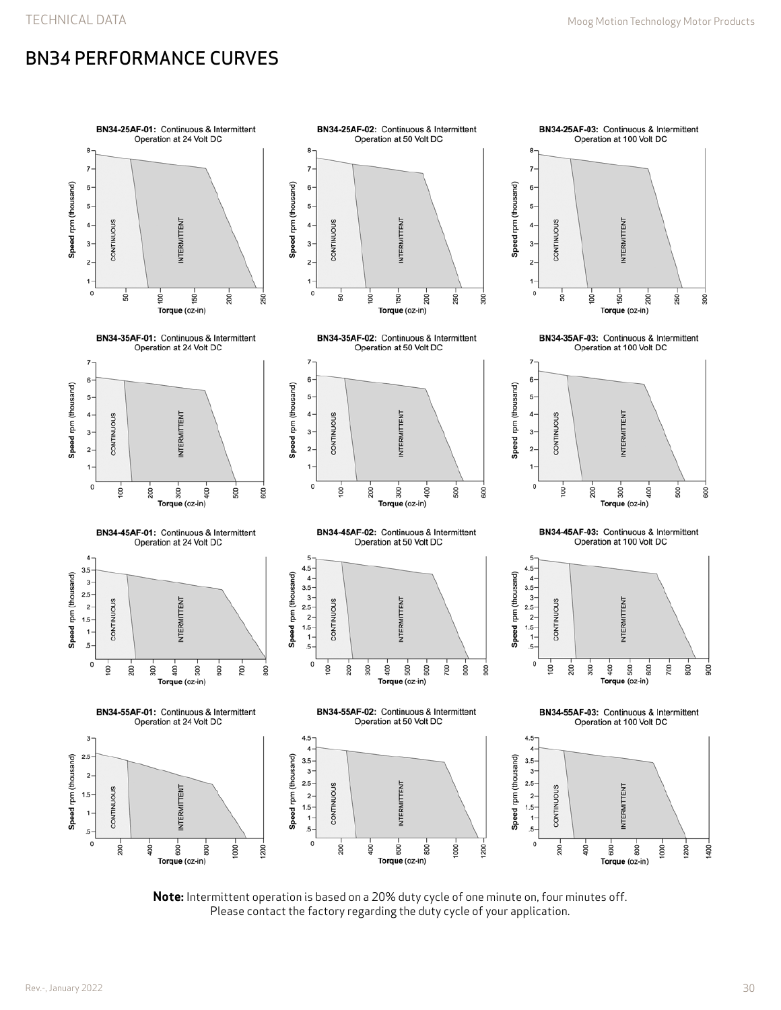## BN34 PERFORMANCE CURVES



**Note:** Intermittent operation is based on a 20% duty cycle of one minute on, four minutes off. Please contact the factory regarding the duty cycle of your application.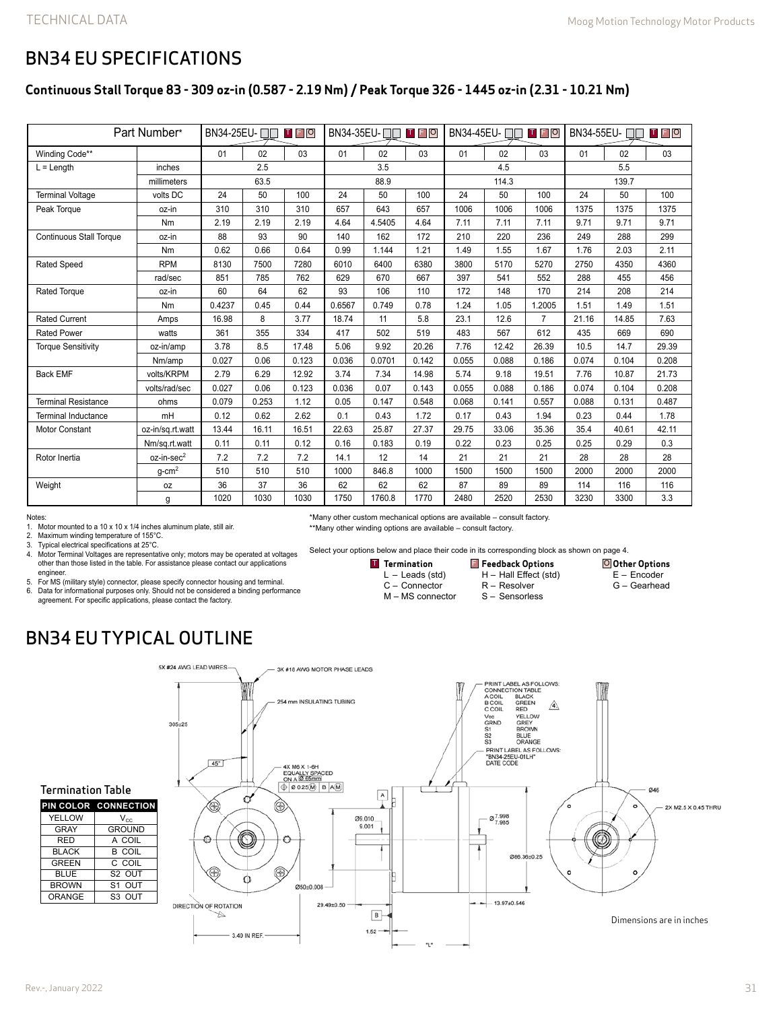**Other Options** E – Encoder G – Gearhead

### BN34 EU SPECIFICATIONS

#### **Continuous Stall Torque 83 - 309 oz-in (0.587 - 2.19 Nm) / Peak Torque 326 - 1445 oz-in (2.31 - 10.21 Nm)**

| Part Number*                   |                        |        |       | BN34-35EU-□□ □ □ 回 |        | BN34-45EU- □□<br>TFO |       |       | BN34-55EU-□□<br>T F O |        |       |       |       |
|--------------------------------|------------------------|--------|-------|--------------------|--------|----------------------|-------|-------|-----------------------|--------|-------|-------|-------|
| Winding Code**                 |                        | 01     | 02    | 03                 | 01     | 02                   | 03    | 01    | 02                    | 03     | 01    | 02    | 03    |
| $L =$ Length                   | inches                 | 2.5    |       | 3.5                |        |                      | 4.5   |       |                       | 5.5    |       |       |       |
|                                | millimeters            | 63.5   |       | 88.9               |        |                      | 114.3 |       |                       | 139.7  |       |       |       |
| <b>Terminal Voltage</b>        | volts DC               | 24     | 50    | 100                | 24     | 50                   | 100   | 24    | 50                    | 100    | 24    | 50    | 100   |
| Peak Torque                    | oz-in                  | 310    | 310   | 310                | 657    | 643                  | 657   | 1006  | 1006                  | 1006   | 1375  | 1375  | 1375  |
|                                | Nm                     | 2.19   | 2.19  | 2.19               | 4.64   | 4.5405               | 4.64  | 7.11  | 7.11                  | 7.11   | 9.71  | 9.71  | 9.71  |
| <b>Continuous Stall Torque</b> | oz-in                  | 88     | 93    | 90                 | 140    | 162                  | 172   | 210   | 220                   | 236    | 249   | 288   | 299   |
|                                | Nm                     | 0.62   | 0.66  | 0.64               | 0.99   | 1.144                | 1.21  | 1.49  | 1.55                  | 1.67   | 1.76  | 2.03  | 2.11  |
| <b>Rated Speed</b>             | <b>RPM</b>             | 8130   | 7500  | 7280               | 6010   | 6400                 | 6380  | 3800  | 5170                  | 5270   | 2750  | 4350  | 4360  |
|                                | rad/sec                | 851    | 785   | 762                | 629    | 670                  | 667   | 397   | 541                   | 552    | 288   | 455   | 456   |
| <b>Rated Torque</b>            | oz-in                  | 60     | 64    | 62                 | 93     | 106                  | 110   | 172   | 148                   | 170    | 214   | 208   | 214   |
|                                | Nm                     | 0.4237 | 0.45  | 0.44               | 0.6567 | 0.749                | 0.78  | 1.24  | 1.05                  | 1.2005 | 1.51  | 1.49  | 1.51  |
| <b>Rated Current</b>           | Amps                   | 16.98  | 8     | 3.77               | 18.74  | 11                   | 5.8   | 23.1  | 12.6                  | 7      | 21.16 | 14.85 | 7.63  |
| <b>Rated Power</b>             | watts                  | 361    | 355   | 334                | 417    | 502                  | 519   | 483   | 567                   | 612    | 435   | 669   | 690   |
| <b>Torque Sensitivity</b>      | oz-in/amp              | 3.78   | 8.5   | 17.48              | 5.06   | 9.92                 | 20.26 | 7.76  | 12.42                 | 26.39  | 10.5  | 14.7  | 29.39 |
|                                | Nm/amp                 | 0.027  | 0.06  | 0.123              | 0.036  | 0.0701               | 0.142 | 0.055 | 0.088                 | 0.186  | 0.074 | 0.104 | 0.208 |
| <b>Back EMF</b>                | volts/KRPM             | 2.79   | 6.29  | 12.92              | 3.74   | 7.34                 | 14.98 | 5.74  | 9.18                  | 19.51  | 7.76  | 10.87 | 21.73 |
|                                | volts/rad/sec          | 0.027  | 0.06  | 0.123              | 0.036  | 0.07                 | 0.143 | 0.055 | 0.088                 | 0.186  | 0.074 | 0.104 | 0.208 |
| <b>Terminal Resistance</b>     | ohms                   | 0.079  | 0.253 | 1.12               | 0.05   | 0.147                | 0.548 | 0.068 | 0.141                 | 0.557  | 0.088 | 0.131 | 0.487 |
| <b>Terminal Inductance</b>     | mH                     | 0.12   | 0.62  | 2.62               | 0.1    | 0.43                 | 1.72  | 0.17  | 0.43                  | 1.94   | 0.23  | 0.44  | 1.78  |
| <b>Motor Constant</b>          | oz-in/sq.rt.watt       | 13.44  | 16.11 | 16.51              | 22.63  | 25.87                | 27.37 | 29.75 | 33.06                 | 35.36  | 35.4  | 40.61 | 42.11 |
|                                | Nm/sq.rt.watt          | 0.11   | 0.11  | 0.12               | 0.16   | 0.183                | 0.19  | 0.22  | 0.23                  | 0.25   | 0.25  | 0.29  | 0.3   |
| Rotor Inertia                  | oz-in-sec <sup>2</sup> | 7.2    | 7.2   | 7.2                | 14.1   | 12                   | 14    | 21    | 21                    | 21     | 28    | 28    | 28    |
|                                | $q$ -cm <sup>2</sup>   | 510    | 510   | 510                | 1000   | 846.8                | 1000  | 1500  | 1500                  | 1500   | 2000  | 2000  | 2000  |
| Weight                         | 0Z                     | 36     | 37    | 36                 | 62     | 62                   | 62    | 87    | 89                    | 89     | 114   | 116   | 116   |
|                                | g                      | 1020   | 1030  | 1030               | 1750   | 1760.8               | 1770  | 2480  | 2520                  | 2530   | 3230  | 3300  | 3.3   |

Notes:

1. Motor mounted to a 10 x 10 x 1/4 inches aluminum plate, still air.

2. Maximum winding temperature of 155°C.<br>3. Typical electrical specifications at 25°C.

3. Typical electrical specifications at 25°C.<br>4. Motor Terminal Voltages are representa

Motor Terminal Voltages are representative only; motors may be operated at voltages other than those listed in the table. For assistance please contact our applications engineer

5. For MS (military style) connector, please specify connector housing and terminal. 6. Data for informational purposes only. Should not be considered a binding performance agreement. For specific applications, please contact the factory.

## BN34 EU TYPICAL OUTLINE



\*Many other custom mechanical options are available – consult factory. \*\*Many other winding options are available – consult factory.

> **Termination** L – Leads (std) C – Connector M – MS connector

Select your options below and place their code in its corresponding block as shown on page 4.

**FREE OPTIONS OF STATE OF STATE OF STATE OF STATE OF STATE OF STATE OF STATE OF STATE OF STATE OF STATE OF STATE** 

H – Hall Effect (std) R – Resolver S – Sensorless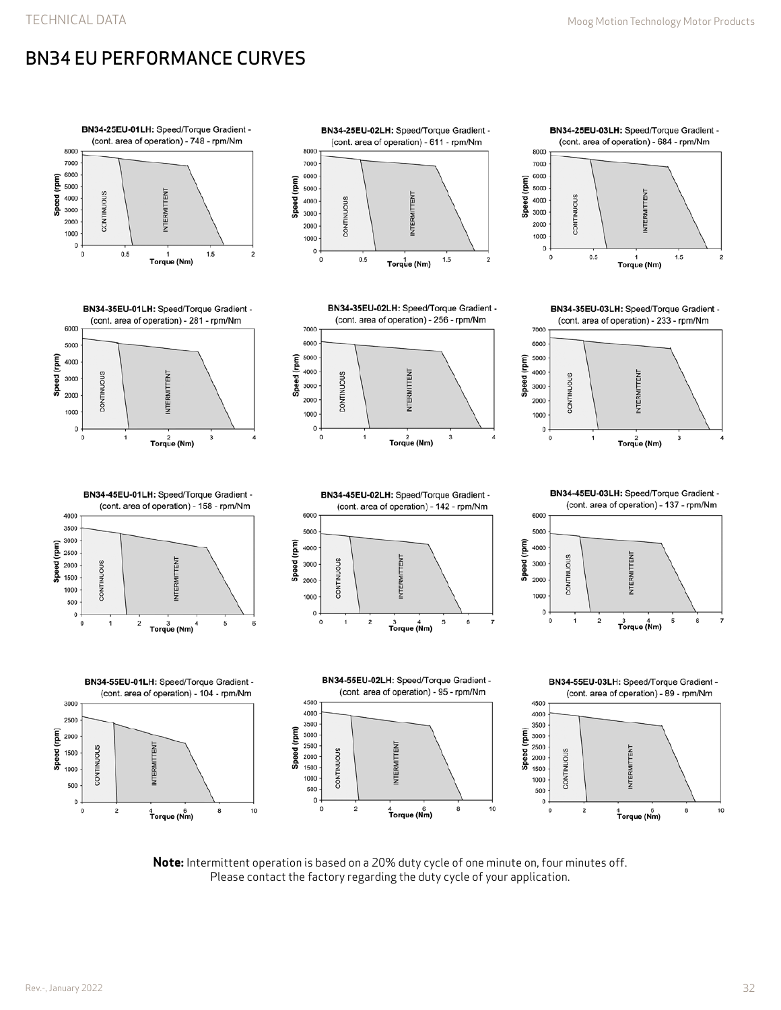# BN34 EU PERFORMANCE CURVES



**Note:** Intermittent operation is based on a 20% duty cycle of one minute on, four minutes off. Please contact the factory regarding the duty cycle of your application.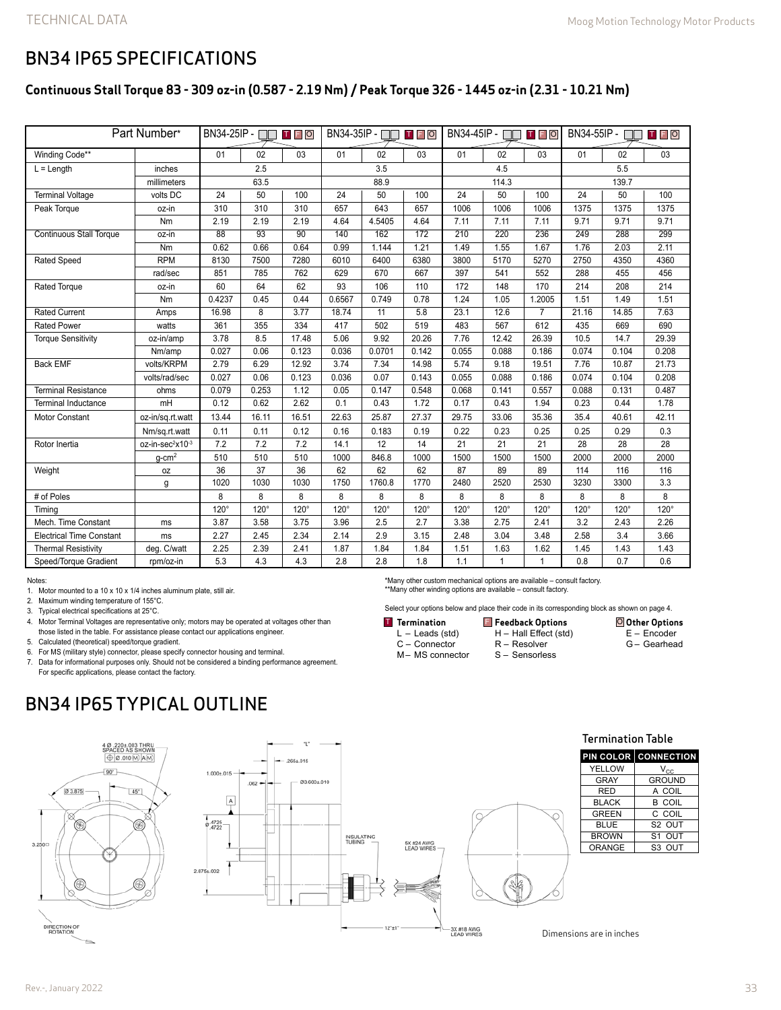### BN34 IP65 SPECIFICATIONS

#### **Continuous Stall Torque 83 - 309 oz-in (0.587 - 2.19 Nm) / Peak Torque 326 - 1445 oz-in (2.31 - 10.21 Nm)**

| Part Number*                          |                              | $BN34-25IP - \square$<br>$\mathsf T$ $\mathsf F$ $\mathsf O$ |                 |                 | BN34-35IP - II<br>TFO |             |             | BN34-45IP - $\Box$<br><b>TFO</b> |             |                | BN34-55IP - $\Box$<br>$\mathbf{T}$ $\mathbf{F}$ $\mathbf{O}$ |             |             |
|---------------------------------------|------------------------------|--------------------------------------------------------------|-----------------|-----------------|-----------------------|-------------|-------------|----------------------------------|-------------|----------------|--------------------------------------------------------------|-------------|-------------|
| Winding Code**                        |                              | 01                                                           | 02              | 03              | 01                    | 02          | 03          | 01                               | 02          | 03             | 01                                                           | 02          | 03          |
| $L =$ Length<br>inches<br>millimeters |                              | 2.5                                                          |                 |                 | 3.5                   |             |             | 4.5                              |             |                | 5.5                                                          |             |             |
|                                       |                              | 63.5                                                         |                 |                 | 88.9                  |             |             | 114.3                            |             |                | 139.7                                                        |             |             |
| <b>Terminal Voltage</b>               | volts DC                     | 24                                                           | 50              | 100             | 24                    | 50          | 100         | 24                               | 50          | 100            | 24                                                           | 50          | 100         |
| Peak Torque                           | oz-in                        | 310                                                          | 310             | 310             | 657                   | 643         | 657         | 1006                             | 1006        | 1006           | 1375                                                         | 1375        | 1375        |
|                                       | Nm                           | 2.19                                                         | 2.19            | 2.19            | 4.64                  | 4.5405      | 4.64        | 7.11                             | 7.11        | 7.11           | 9.71                                                         | 9.71        | 9.71        |
| <b>Continuous Stall Torque</b>        | oz-in                        | $\overline{88}$                                              | $\overline{93}$ | $\overline{90}$ | 140                   | 162         | 172         | 210                              | 220         | 236            | 249                                                          | 288         | 299         |
|                                       | Nm                           | 0.62                                                         | 0.66            | 0.64            | 0.99                  | 1.144       | 1.21        | 1.49                             | 1.55        | 1.67           | 1.76                                                         | 2.03        | 2.11        |
| <b>Rated Speed</b>                    | <b>RPM</b>                   | 8130                                                         | 7500            | 7280            | 6010                  | 6400        | 6380        | 3800                             | 5170        | 5270           | 2750                                                         | 4350        | 4360        |
|                                       | rad/sec                      | 851                                                          | 785             | 762             | 629                   | 670         | 667         | 397                              | 541         | 552            | 288                                                          | 455         | 456         |
| Rated Torque                          | oz-in                        | 60                                                           | 64              | 62              | 93                    | 106         | 110         | 172                              | 148         | 170            | 214                                                          | 208         | 214         |
|                                       | Nm                           | 0.4237                                                       | 0.45            | 0.44            | 0.6567                | 0.749       | 0.78        | 1.24                             | 1.05        | 1.2005         | 1.51                                                         | 1.49        | 1.51        |
| <b>Rated Current</b>                  | Amps                         | 16.98                                                        | 8               | 3.77            | 18.74                 | 11          | 5.8         | 23.1                             | 12.6        | $\overline{7}$ | 21.16                                                        | 14.85       | 7.63        |
| <b>Rated Power</b>                    | watts                        | 361                                                          | 355             | 334             | 417                   | 502         | 519         | 483                              | 567         | 612            | 435                                                          | 669         | 690         |
| <b>Torque Sensitivity</b>             | oz-in/amp                    | 3.78                                                         | 8.5             | 17.48           | 5.06                  | 9.92        | 20.26       | 7.76                             | 12.42       | 26.39          | 10.5                                                         | 14.7        | 29.39       |
|                                       | Nm/amp                       | 0.027                                                        | 0.06            | 0.123           | 0.036                 | 0.0701      | 0.142       | 0.055                            | 0.088       | 0.186          | 0.074                                                        | 0.104       | 0.208       |
| <b>Back EMF</b>                       | volts/KRPM                   | 2.79                                                         | 6.29            | 12.92           | 3.74                  | 7.34        | 14.98       | 5.74                             | 9.18        | 19.51          | 7.76                                                         | 10.87       | 21.73       |
|                                       | volts/rad/sec                | 0.027                                                        | 0.06            | 0.123           | 0.036                 | 0.07        | 0.143       | 0.055                            | 0.088       | 0.186          | 0.074                                                        | 0.104       | 0.208       |
| <b>Terminal Resistance</b>            | ohms                         | 0.079                                                        | 0.253           | 1.12            | 0.05                  | 0.147       | 0.548       | 0.068                            | 0.141       | 0.557          | 0.088                                                        | 0.131       | 0.487       |
| <b>Terminal Inductance</b>            | mH                           | 0.12                                                         | 0.62            | 2.62            | 0.1                   | 0.43        | 1.72        | 0.17                             | 0.43        | 1.94           | 0.23                                                         | 0.44        | 1.78        |
| <b>Motor Constant</b>                 | oz-in/sq.rt.watt             | 13.44                                                        | 16.11           | 16.51           | 22.63                 | 25.87       | 27.37       | 29.75                            | 33.06       | 35.36          | 35.4                                                         | 40.61       | 42.11       |
|                                       | Nm/sq.rt.watt                | 0.11                                                         | 0.11            | 0.12            | 0.16                  | 0.183       | 0.19        | 0.22                             | 0.23        | 0.25           | 0.25                                                         | 0.29        | 0.3         |
| Rotor Inertia                         | oz-in-sec <sup>2</sup> x10-3 | 7.2                                                          | 7.2             | 7.2             | 14.1                  | 12          | 14          | 21                               | 21          | 21             | 28                                                           | 28          | 28          |
|                                       | $g$ -cm <sup>2</sup>         | 510                                                          | 510             | 510             | 1000                  | 846.8       | 1000        | 1500                             | 1500        | 1500           | 2000                                                         | 2000        | 2000        |
| Weight                                | 0Z                           | 36                                                           | 37              | 36              | 62                    | 62          | 62          | 87                               | 89          | 89             | 114                                                          | 116         | 116         |
|                                       | g                            | 1020                                                         | 1030            | 1030            | 1750                  | 1760.8      | 1770        | 2480                             | 2520        | 2530           | 3230                                                         | 3300        | 3.3         |
| # of Poles                            |                              | 8                                                            | 8               | 8               | 8                     | 8           | 8           | 8                                | 8           | 8              | 8                                                            | 8           | 8           |
| Timina                                |                              | $120^\circ$                                                  | $120^\circ$     | $120^\circ$     | $120^\circ$           | $120^\circ$ | $120^\circ$ | $120^\circ$                      | $120^\circ$ | $120^\circ$    | $120^\circ$                                                  | $120^\circ$ | $120^\circ$ |
| Mech. Time Constant                   | ms                           | 3.87                                                         | 3.58            | 3.75            | 3.96                  | 2.5         | 2.7         | 3.38                             | 2.75        | 2.41           | 3.2                                                          | 2.43        | 2.26        |
| <b>Electrical Time Constant</b>       | ms                           | 2.27                                                         | 2.45            | 2.34            | 2.14                  | 2.9         | 3.15        | 2.48                             | 3.04        | 3.48           | 2.58                                                         | 3.4         | 3.66        |
| <b>Thermal Resistivity</b>            | deg. C/watt                  | 2.25                                                         | 2.39            | 2.41            | 1.87                  | 1.84        | 1.84        | 1.51                             | 1.63        | 1.62           | 1.45                                                         | 1.43        | 1.43        |
| Speed/Torque Gradient                 | rpm/oz-in                    | 5.3                                                          | 4.3             | 4.3             | 2.8                   | 2.8         | 1.8         | 1.1                              | 1           | $\mathbf{1}$   | 0.8                                                          | 0.7         | 0.6         |

Notes:

1. Motor mounted to a 10 x 10 x 1/4 inches aluminum plate, still air.

2. Maximum winding temperature of 155°C.

3. Typical electrical specifications at 25°C.

4. Motor Terminal Voltages are representative only; motors may be operated at voltages other than

those listed in the table. For assistance please contact our applications engineer.

5. Calculated (theoretical) speed/torque gradient.

6. For MS (military style) connector, please specify connector housing and terminal.

7. Data for informational purposes only. Should not be considered a binding performance agreement.

For specific applications, please contact the factory.

# BN34 IP65 TYPICAL OUTLINE



ų.  $.265 \pm .015$  $1.000 \pm 0.015$ Ø3.600±.010  $.062 \boxed{\mathsf{A}}$  $6.4725$ INSULATING<br>TUBING -5X #24 AWG<br>LEAD WIRES 2.875±.002  $12"±1"$ 3X #18 AWG<br>LEAD WIRES

\*Many other custom mechanical options are available – consult factory. \*\*Many other winding options are available – consult factory.

Select your options below and place their code in its corresponding block as shown on page 4.

**Other Options** E – Encoder G – Gearhead **Termination** L – Leads (std) C – Connector M– MS connector **FREE CONTROVIDES IN THE OPTIONS OF THE OPTION OF STATE OF STATE OF STATE OF STATE OF STATE OF STATE** H – Hall Effect (std) R – Resolver S – Sensorless

Termination Table

|              | <b>PIN COLOR CONNECTION</b> |
|--------------|-----------------------------|
| YELLOW       | $V_{\rm CC}$                |
| <b>GRAY</b>  | <b>GROUND</b>               |
| <b>RED</b>   | A COIL                      |
| <b>BLACK</b> | B COIL                      |
| <b>GREEN</b> | C COIL                      |
| <b>BLUE</b>  | S <sub>2</sub> OUT          |
| <b>BROWN</b> | S1 OUT                      |
| ORANGE       | S <sub>3</sub> OUT          |

Dimensions are in inches